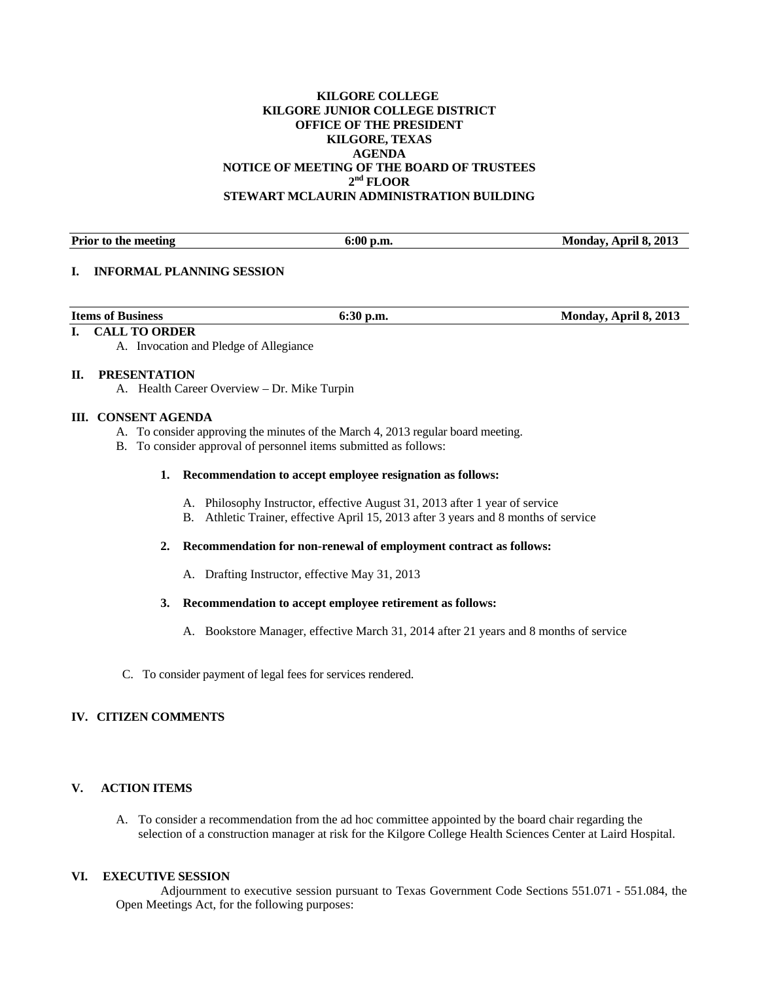# **KILGORE COLLEGE KILGORE JUNIOR COLLEGE DISTRICT OFFICE OF THE PRESIDENT KILGORE, TEXAS AGENDA NOTICE OF MEETING OF THE BOARD OF TRUSTEES 2nd FLOOR STEWART MCLAURIN ADMINISTRATION BUILDING**

Prior to the meeting **6:00 p.m.** 6:00 p.m. Monday, April 8, 2013

## **I. INFORMAL PLANNING SESSION**

| <b>Items of Business</b> | 0:20 | <b>April 8, 2013</b><br>Monday. |
|--------------------------|------|---------------------------------|
|                          |      |                                 |

## **I. CALL TO ORDER**

A. Invocation and Pledge of Allegiance

## **II. PRESENTATION**

A. Health Career Overview – Dr. Mike Turpin

## **III. CONSENT AGENDA**

- A. To consider approving the minutes of the March 4, 2013 regular board meeting.
- B. To consider approval of personnel items submitted as follows:

# **1. Recommendation to accept employee resignation as follows:**

- A. Philosophy Instructor, effective August 31, 2013 after 1 year of service
- B. Athletic Trainer, effective April 15, 2013 after 3 years and 8 months of service

# **2. Recommendation for non-renewal of employment contract as follows:**

A. Drafting Instructor, effective May 31, 2013

#### **3. Recommendation to accept employee retirement as follows:**

- A. Bookstore Manager, effective March 31, 2014 after 21 years and 8 months of service
- C. To consider payment of legal fees for services rendered.

# **IV. CITIZEN COMMENTS**

# **V. ACTION ITEMS**

A. To consider a recommendation from the ad hoc committee appointed by the board chair regarding the selection of a construction manager at risk for the Kilgore College Health Sciences Center at Laird Hospital.

#### **VI. EXECUTIVE SESSION**

 Adjournment to executive session pursuant to Texas Government Code Sections 551.071 - 551.084, the Open Meetings Act, for the following purposes: